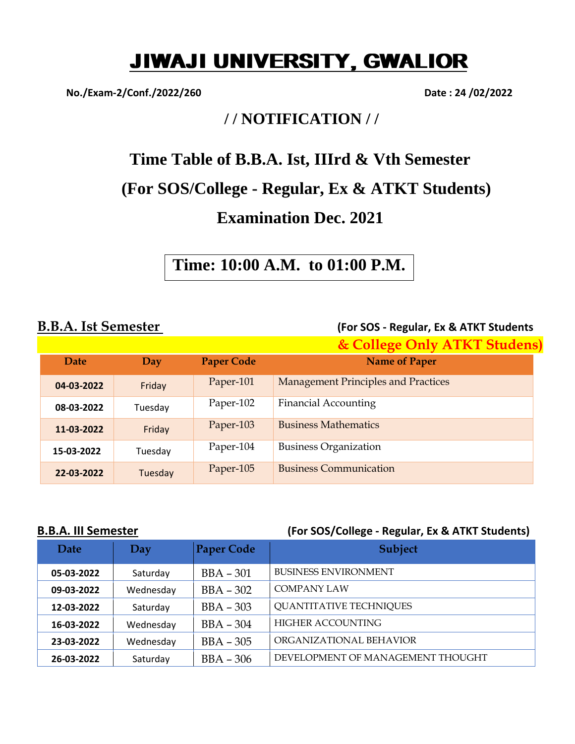# JIWAJI UNIVERSITY, GWALIOR

**No./Exam-2/Conf./2022/260 Date : 24 /02/2022**

## **/ / NOTIFICATION / /**

## **Time Table of B.B.A. Ist, IIIrd & Vth Semester**

## **(For SOS/College - Regular, Ex & ATKT Students)**

## **Examination Dec. 2021**

**Time: 10:00 A.M. to 01:00 P.M.**

**B.B.A. Ist Semester (For SOS - Regular, Ex & ATKT Students**

|            |         |                   | & College Only ATKT Studens)               |
|------------|---------|-------------------|--------------------------------------------|
| Date       | Day     | <b>Paper Code</b> | <b>Name of Paper</b>                       |
| 04-03-2022 | Friday  | Paper-101         | <b>Management Principles and Practices</b> |
| 08-03-2022 | Tuesday | Paper-102         | <b>Financial Accounting</b>                |
| 11-03-2022 | Friday  | Paper-103         | <b>Business Mathematics</b>                |
| 15-03-2022 | Tuesday | Paper-104         | <b>Business Organization</b>               |
| 22-03-2022 | Tuesday | Paper-105         | <b>Business Communication</b>              |

### **B.B.A. III Semester (For SOS/College - Regular, Ex & ATKT Students)**

| <b>Date</b> | Day       | <b>Paper Code</b> | <b>Subject</b>                    |
|-------------|-----------|-------------------|-----------------------------------|
| 05-03-2022  | Saturday  | $BBA - 301$       | <b>BUSINESS ENVIRONMENT</b>       |
| 09-03-2022  | Wednesday | $BBA - 302$       | COMPANY LAW                       |
| 12-03-2022  | Saturday  | $BBA - 303$       | <b>QUANTITATIVE TECHNIQUES</b>    |
| 16-03-2022  | Wednesday | $BBA - 304$       | <b>HIGHER ACCOUNTING</b>          |
| 23-03-2022  | Wednesday | $BBA - 305$       | ORGANIZATIONAL BEHAVIOR           |
| 26-03-2022  | Saturday  | $BBA - 306$       | DEVELOPMENT OF MANAGEMENT THOUGHT |